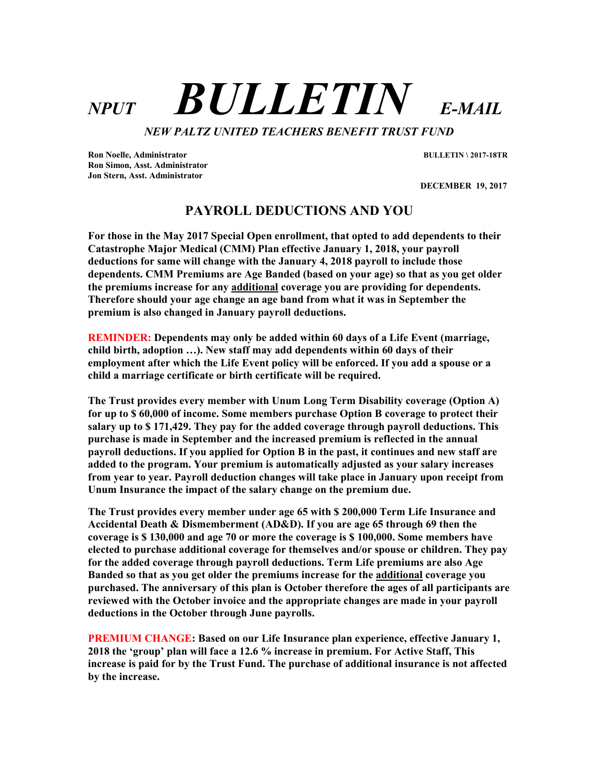# NPUT **BULLETIN** E-MAIL

NEW PALTZ UNITED TEACHERS BENEFIT TRUST FUND

Ron Noelle, Administrator BULLETIN \ 2017-18TR Ron Simon, Asst. Administrator Jon Stern, Asst. Administrator

DECEMBER 19, 2017

# PAYROLL DEDUCTIONS AND YOU

For those in the May 2017 Special Open enrollment, that opted to add dependents to their Catastrophe Major Medical (CMM) Plan effective January 1, 2018, your payroll deductions for same will change with the January 4, 2018 payroll to include those dependents. CMM Premiums are Age Banded (based on your age) so that as you get older the premiums increase for any additional coverage you are providing for dependents. Therefore should your age change an age band from what it was in September the premium is also changed in January payroll deductions.

REMINDER: Dependents may only be added within 60 days of a Life Event (marriage, child birth, adoption …). New staff may add dependents within 60 days of their employment after which the Life Event policy will be enforced. If you add a spouse or a child a marriage certificate or birth certificate will be required.

The Trust provides every member with Unum Long Term Disability coverage (Option A) for up to \$ 60,000 of income. Some members purchase Option B coverage to protect their salary up to \$ 171,429. They pay for the added coverage through payroll deductions. This purchase is made in September and the increased premium is reflected in the annual payroll deductions. If you applied for Option B in the past, it continues and new staff are added to the program. Your premium is automatically adjusted as your salary increases from year to year. Payroll deduction changes will take place in January upon receipt from Unum Insurance the impact of the salary change on the premium due.

The Trust provides every member under age 65 with \$ 200,000 Term Life Insurance and Accidental Death & Dismemberment (AD&D). If you are age 65 through 69 then the coverage is \$ 130,000 and age 70 or more the coverage is \$ 100,000. Some members have elected to purchase additional coverage for themselves and/or spouse or children. They pay for the added coverage through payroll deductions. Term Life premiums are also Age Banded so that as you get older the premiums increase for the additional coverage you purchased. The anniversary of this plan is October therefore the ages of all participants are reviewed with the October invoice and the appropriate changes are made in your payroll deductions in the October through June payrolls.

PREMIUM CHANGE: Based on our Life Insurance plan experience, effective January 1, 2018 the 'group' plan will face a 12.6 % increase in premium. For Active Staff, This increase is paid for by the Trust Fund. The purchase of additional insurance is not affected by the increase.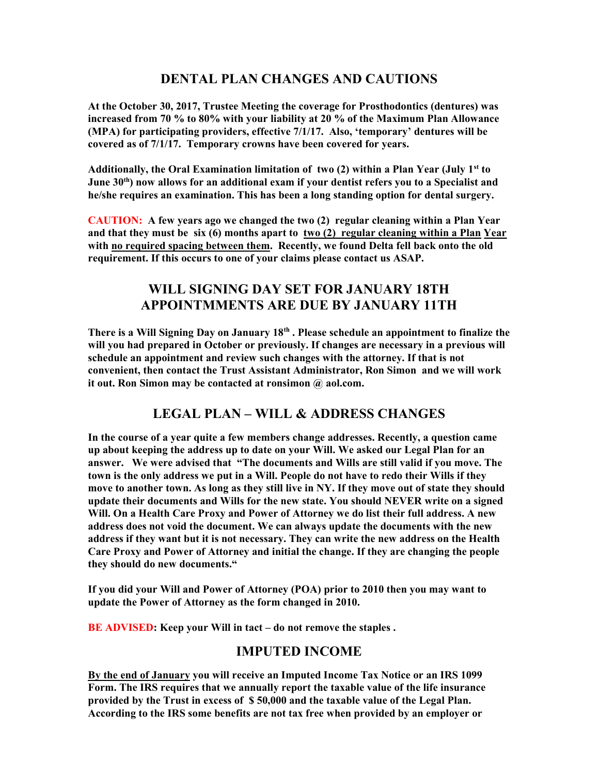# DENTAL PLAN CHANGES AND CAUTIONS

At the October 30, 2017, Trustee Meeting the coverage for Prosthodontics (dentures) was increased from 70 % to 80% with your liability at 20 % of the Maximum Plan Allowance (MPA) for participating providers, effective 7/1/17. Also, 'temporary' dentures will be covered as of 7/1/17. Temporary crowns have been covered for years.

Additionally, the Oral Examination limitation of two  $(2)$  within a Plan Year (July 1<sup>st</sup> to June  $30<sup>th</sup>$ ) now allows for an additional exam if your dentist refers you to a Specialist and he/she requires an examination. This has been a long standing option for dental surgery.

CAUTION: A few years ago we changed the two (2) regular cleaning within a Plan Year and that they must be six (6) months apart to two (2) regular cleaning within a Plan Year with no required spacing between them. Recently, we found Delta fell back onto the old requirement. If this occurs to one of your claims please contact us ASAP.

# WILL SIGNING DAY SET FOR JANUARY 18TH APPOINTMMENTS ARE DUE BY JANUARY 11TH

There is a Will Signing Day on January 18<sup>th</sup>. Please schedule an appointment to finalize the will you had prepared in October or previously. If changes are necessary in a previous will schedule an appointment and review such changes with the attorney. If that is not convenient, then contact the Trust Assistant Administrator, Ron Simon and we will work it out. Ron Simon may be contacted at ronsimon @ aol.com.

# LEGAL PLAN – WILL & ADDRESS CHANGES

In the course of a year quite a few members change addresses. Recently, a question came up about keeping the address up to date on your Will. We asked our Legal Plan for an answer. We were advised that "The documents and Wills are still valid if you move. The town is the only address we put in a Will. People do not have to redo their Wills if they move to another town. As long as they still live in NY. If they move out of state they should update their documents and Wills for the new state. You should NEVER write on a signed Will. On a Health Care Proxy and Power of Attorney we do list their full address. A new address does not void the document. We can always update the documents with the new address if they want but it is not necessary. They can write the new address on the Health Care Proxy and Power of Attorney and initial the change. If they are changing the people they should do new documents."

If you did your Will and Power of Attorney (POA) prior to 2010 then you may want to update the Power of Attorney as the form changed in 2010.

BE ADVISED: Keep your Will in tact – do not remove the staples.

# IMPUTED INCOME

By the end of January you will receive an Imputed Income Tax Notice or an IRS 1099 Form. The IRS requires that we annually report the taxable value of the life insurance provided by the Trust in excess of \$ 50,000 and the taxable value of the Legal Plan. According to the IRS some benefits are not tax free when provided by an employer or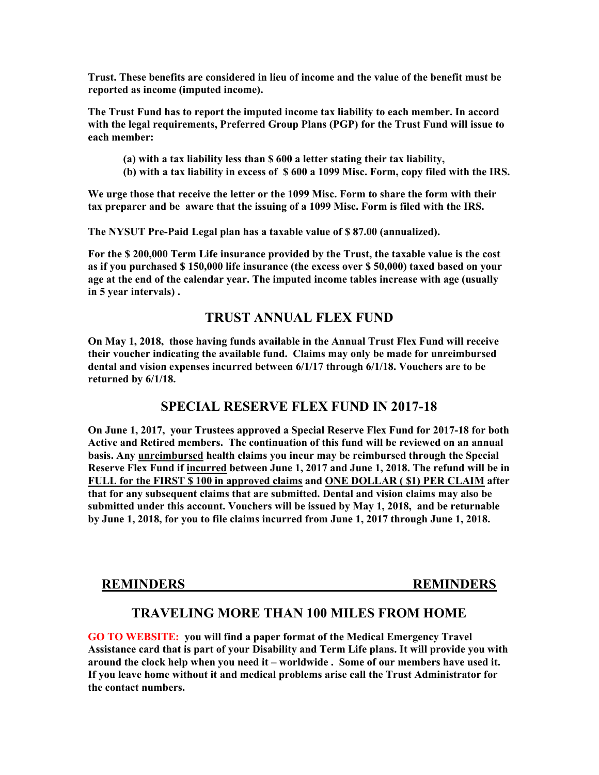Trust. These benefits are considered in lieu of income and the value of the benefit must be reported as income (imputed income).

The Trust Fund has to report the imputed income tax liability to each member. In accord with the legal requirements, Preferred Group Plans (PGP) for the Trust Fund will issue to each member:

- (a) with a tax liability less than \$ 600 a letter stating their tax liability,
- (b) with a tax liability in excess of \$ 600 a 1099 Misc. Form, copy filed with the IRS.

We urge those that receive the letter or the 1099 Misc. Form to share the form with their tax preparer and be aware that the issuing of a 1099 Misc. Form is filed with the IRS.

The NYSUT Pre-Paid Legal plan has a taxable value of \$ 87.00 (annualized).

For the \$ 200,000 Term Life insurance provided by the Trust, the taxable value is the cost as if you purchased \$ 150,000 life insurance (the excess over \$ 50,000) taxed based on your age at the end of the calendar year. The imputed income tables increase with age (usually in 5 year intervals) .

#### TRUST ANNUAL FLEX FUND

On May 1, 2018, those having funds available in the Annual Trust Flex Fund will receive their voucher indicating the available fund. Claims may only be made for unreimbursed dental and vision expenses incurred between 6/1/17 through 6/1/18. Vouchers are to be returned by 6/1/18.

#### SPECIAL RESERVE FLEX FUND IN 2017-18

On June 1, 2017, your Trustees approved a Special Reserve Flex Fund for 2017-18 for both Active and Retired members. The continuation of this fund will be reviewed on an annual basis. Any unreimbursed health claims you incur may be reimbursed through the Special Reserve Flex Fund if incurred between June 1, 2017 and June 1, 2018. The refund will be in FULL for the FIRST \$ 100 in approved claims and ONE DOLLAR ( \$1) PER CLAIM after that for any subsequent claims that are submitted. Dental and vision claims may also be submitted under this account. Vouchers will be issued by May 1, 2018, and be returnable by June 1, 2018, for you to file claims incurred from June 1, 2017 through June 1, 2018.

REMINDERS REMINDERS

### TRAVELING MORE THAN 100 MILES FROM HOME

GO TO WEBSITE: you will find a paper format of the Medical Emergency Travel Assistance card that is part of your Disability and Term Life plans. It will provide you with around the clock help when you need it – worldwide . Some of our members have used it. If you leave home without it and medical problems arise call the Trust Administrator for the contact numbers.